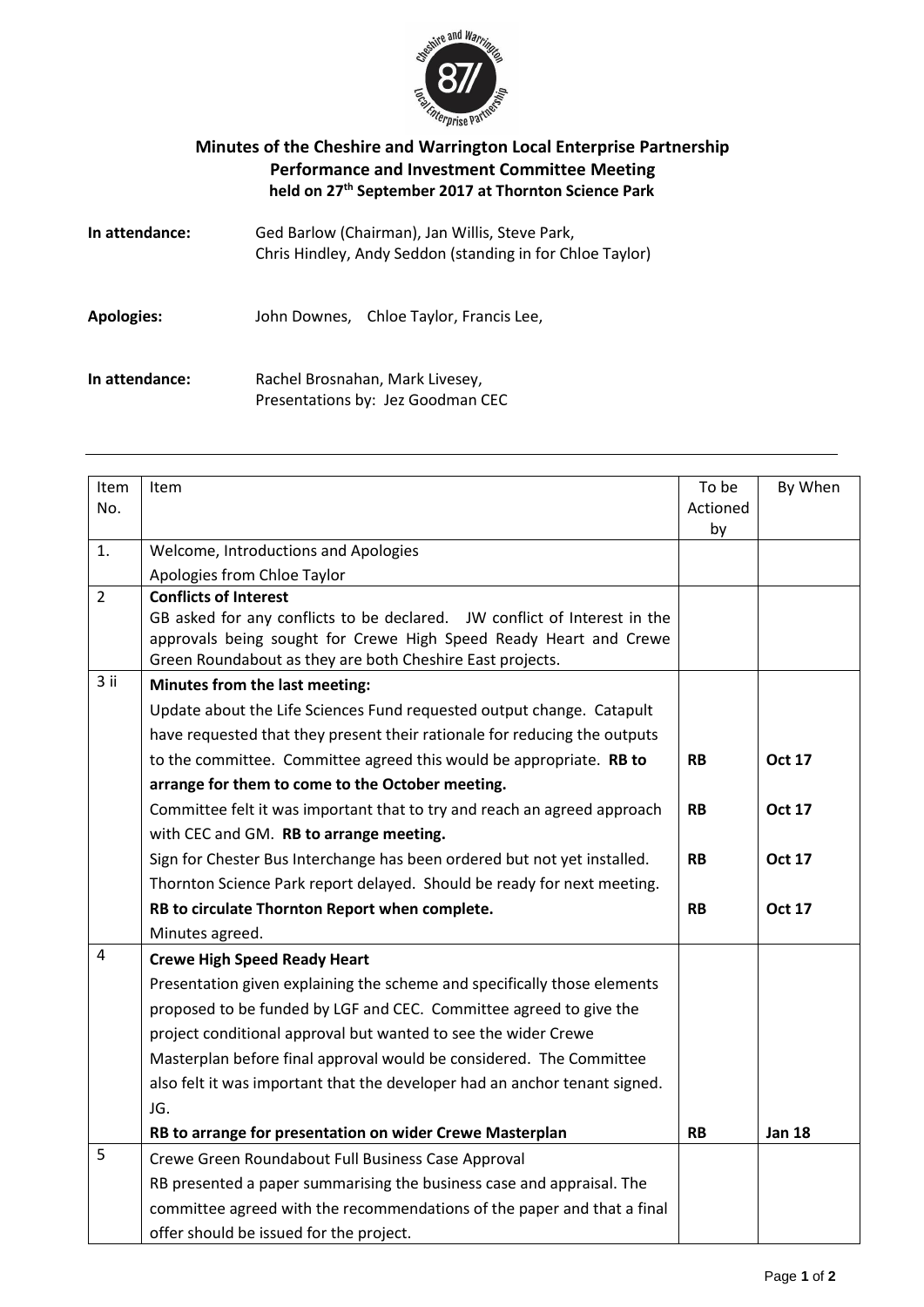

## **Minutes of the Cheshire and Warrington Local Enterprise Partnership Performance and Investment Committee Meeting held on 27 th September 2017 at Thornton Science Park**

| In attendance:    | Ged Barlow (Chairman), Jan Willis, Steve Park,<br>Chris Hindley, Andy Seddon (standing in for Chloe Taylor) |  |  |
|-------------------|-------------------------------------------------------------------------------------------------------------|--|--|
| <b>Apologies:</b> | John Downes, Chloe Taylor, Francis Lee,                                                                     |  |  |
| In attendance:    | Rachel Brosnahan, Mark Livesey,<br>Presentations by: Jez Goodman CEC                                        |  |  |

| Item           | Item                                                                                                                           | To be     | By When       |
|----------------|--------------------------------------------------------------------------------------------------------------------------------|-----------|---------------|
| No.            |                                                                                                                                | Actioned  |               |
|                |                                                                                                                                | by        |               |
| 1.             | Welcome, Introductions and Apologies                                                                                           |           |               |
|                | Apologies from Chloe Taylor                                                                                                    |           |               |
| $\overline{2}$ | <b>Conflicts of Interest</b>                                                                                                   |           |               |
|                | GB asked for any conflicts to be declared. JW conflict of Interest in the                                                      |           |               |
|                | approvals being sought for Crewe High Speed Ready Heart and Crewe<br>Green Roundabout as they are both Cheshire East projects. |           |               |
| 3 ii           |                                                                                                                                |           |               |
|                | Minutes from the last meeting:                                                                                                 |           |               |
|                | Update about the Life Sciences Fund requested output change. Catapult                                                          |           |               |
|                | have requested that they present their rationale for reducing the outputs                                                      |           |               |
|                | to the committee. Committee agreed this would be appropriate. RB to                                                            | <b>RB</b> | <b>Oct 17</b> |
|                | arrange for them to come to the October meeting.                                                                               |           |               |
|                | Committee felt it was important that to try and reach an agreed approach                                                       | <b>RB</b> | <b>Oct 17</b> |
|                | with CEC and GM. RB to arrange meeting.                                                                                        |           |               |
|                | Sign for Chester Bus Interchange has been ordered but not yet installed.                                                       | <b>RB</b> | <b>Oct 17</b> |
|                | Thornton Science Park report delayed. Should be ready for next meeting.                                                        |           |               |
|                | RB to circulate Thornton Report when complete.                                                                                 | <b>RB</b> | <b>Oct 17</b> |
|                | Minutes agreed.                                                                                                                |           |               |
| 4              | <b>Crewe High Speed Ready Heart</b>                                                                                            |           |               |
|                | Presentation given explaining the scheme and specifically those elements                                                       |           |               |
|                | proposed to be funded by LGF and CEC. Committee agreed to give the                                                             |           |               |
|                | project conditional approval but wanted to see the wider Crewe                                                                 |           |               |
|                | Masterplan before final approval would be considered. The Committee                                                            |           |               |
|                | also felt it was important that the developer had an anchor tenant signed.                                                     |           |               |
|                | JG.                                                                                                                            |           |               |
|                | RB to arrange for presentation on wider Crewe Masterplan                                                                       | <b>RB</b> | <b>Jan 18</b> |
| 5              | Crewe Green Roundabout Full Business Case Approval                                                                             |           |               |
|                | RB presented a paper summarising the business case and appraisal. The                                                          |           |               |
|                | committee agreed with the recommendations of the paper and that a final                                                        |           |               |
|                | offer should be issued for the project.                                                                                        |           |               |